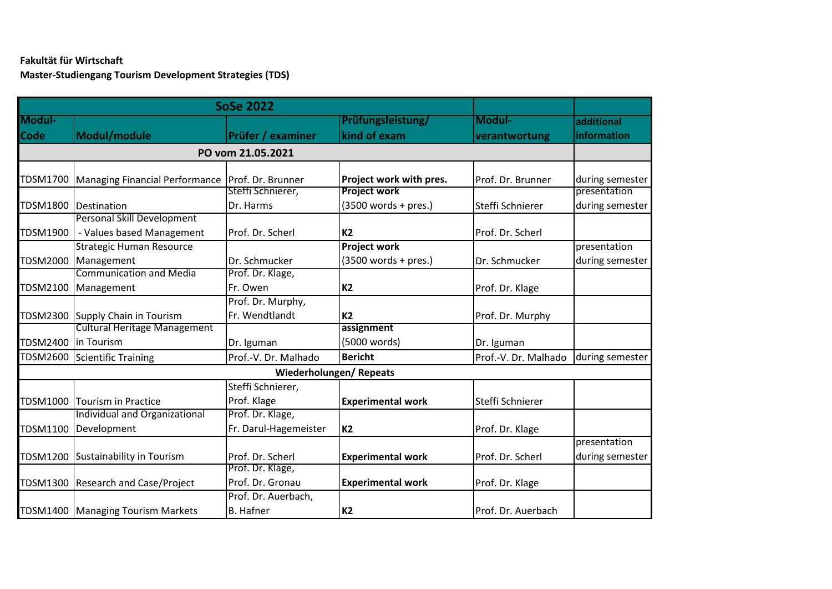## **Fakultät für Wirtschaft Master-Studiengang Tourism Development Strategies (TDS)**

|                   | <b>SoSe 2022</b>                    |                        |                          |                      |                 |  |
|-------------------|-------------------------------------|------------------------|--------------------------|----------------------|-----------------|--|
| Modul-            |                                     |                        | Prüfungsleistung/        | Modul-               | additional      |  |
| Code              | Modul/module                        | Prüfer / examiner      | kind of exam             | verantwortung        | information     |  |
| PO vom 21.05.2021 |                                     |                        |                          |                      |                 |  |
| TDSM1700          | Managing Financial Performance      | Prof. Dr. Brunner      | Project work with pres.  | Prof. Dr. Brunner    | during semester |  |
|                   |                                     | Steffi Schnierer,      | <b>Project work</b>      |                      | presentation    |  |
| TDSM1800          | Destination                         | Dr. Harms              | $(3500 words + pres.)$   | Steffi Schnierer     | during semester |  |
|                   | <b>Personal Skill Development</b>   |                        |                          |                      |                 |  |
| TDSM1900          | - Values based Management           | Prof. Dr. Scherl       | K <sub>2</sub>           | Prof. Dr. Scherl     |                 |  |
|                   | <b>Strategic Human Resource</b>     |                        | <b>Project work</b>      |                      | presentation    |  |
| TDSM2000          | Management                          | Dr. Schmucker          | $(3500 words + pres.)$   | Dr. Schmucker        | during semester |  |
|                   | <b>Communication and Media</b>      | Prof. Dr. Klage,       |                          |                      |                 |  |
| TDSM2100          | Management                          | Fr. Owen               | K <sub>2</sub>           | Prof. Dr. Klage      |                 |  |
|                   |                                     | Prof. Dr. Murphy,      |                          |                      |                 |  |
|                   | TDSM2300 Supply Chain in Tourism    | Fr. Wendtlandt         | K <sub>2</sub>           | Prof. Dr. Murphy     |                 |  |
|                   | <b>Cultural Heritage Management</b> |                        | assignment               |                      |                 |  |
| TDSM2400          | In Tourism                          | Dr. Iguman             | (5000 words)             | Dr. Iguman           |                 |  |
| TDSM2600          | Scientific Training                 | Prof.-V. Dr. Malhado   | <b>Bericht</b>           | Prof.-V. Dr. Malhado | during semester |  |
|                   |                                     | Wiederholungen/Repeats |                          |                      |                 |  |
|                   |                                     | Steffi Schnierer,      |                          |                      |                 |  |
| TDSM1000          | Tourism in Practice                 | Prof. Klage            | <b>Experimental work</b> | Steffi Schnierer     |                 |  |
|                   | Individual and Organizational       | Prof. Dr. Klage,       |                          |                      |                 |  |
| TDSM1100          | Development                         | Fr. Darul-Hagemeister  | <b>K2</b>                | Prof. Dr. Klage      |                 |  |
|                   |                                     |                        |                          |                      | presentation    |  |
| TDSM1200          | Sustainability in Tourism           | Prof. Dr. Scherl       | <b>Experimental work</b> | Prof. Dr. Scherl     | during semester |  |
|                   |                                     | Prof. Dr. Klage,       |                          |                      |                 |  |
| TDSM1300          | <b>Research and Case/Project</b>    | Prof. Dr. Gronau       | <b>Experimental work</b> | Prof. Dr. Klage      |                 |  |
|                   |                                     | Prof. Dr. Auerbach,    |                          |                      |                 |  |
|                   | TDSM1400   Managing Tourism Markets | <b>B.</b> Hafner       | <b>K2</b>                | Prof. Dr. Auerbach   |                 |  |